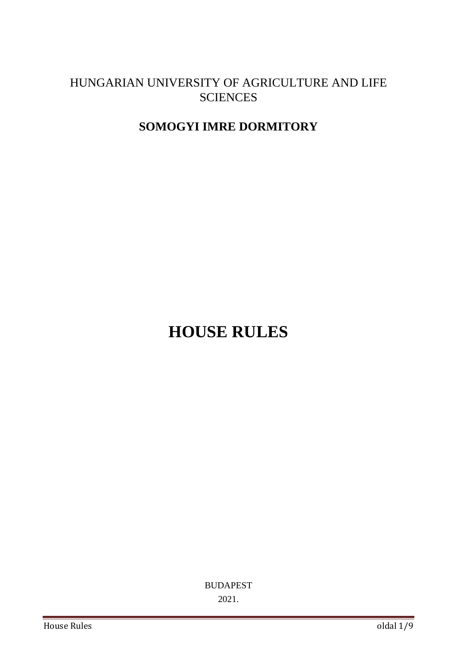# HUNGARIAN UNIVERSITY OF AGRICULTURE AND LIFE **SCIENCES**

# **SOMOGYI IMRE DORMITORY**

# **HOUSE RULES**

BUDAPEST 2021.

House Rules oldal 1/9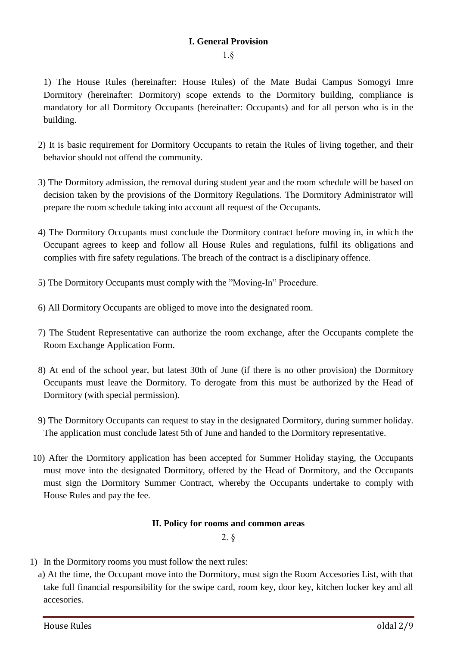### **I. General Provision**

1.§

1) The House Rules (hereinafter: House Rules) of the Mate Budai Campus Somogyi Imre Dormitory (hereinafter: Dormitory) scope extends to the Dormitory building, compliance is mandatory for all Dormitory Occupants (hereinafter: Occupants) and for all person who is in the building.

- 2) It is basic requirement for Dormitory Occupants to retain the Rules of living together, and their behavior should not offend the community.
- 3) The Dormitory admission, the removal during student year and the room schedule will be based on decision taken by the provisions of the Dormitory Regulations. The Dormitory Administrator will prepare the room schedule taking into account all request of the Occupants.
- 4) The Dormitory Occupants must conclude the Dormitory contract before moving in, in which the Occupant agrees to keep and follow all House Rules and regulations, fulfil its obligations and complies with fire safety regulations. The breach of the contract is a disclipinary offence.
- 5) The Dormitory Occupants must comply with the "Moving-In" Procedure.
- 6) All Dormitory Occupants are obliged to move into the designated room.
- 7) The Student Representative can authorize the room exchange, after the Occupants complete the Room Exchange Application Form.
- 8) At end of the school year, but latest 30th of June (if there is no other provision) the Dormitory Occupants must leave the Dormitory. To derogate from this must be authorized by the Head of Dormitory (with special permission).
- 9) The Dormitory Occupants can request to stay in the designated Dormitory, during summer holiday. The application must conclude latest 5th of June and handed to the Dormitory representative.
- 10) After the Dormitory application has been accepted for Summer Holiday staying, the Occupants must move into the designated Dormitory, offered by the Head of Dormitory, and the Occupants must sign the Dormitory Summer Contract, whereby the Occupants undertake to comply with House Rules and pay the fee.

#### **II. Policy for rooms and common areas**

2. §

- 1) In the Dormitory rooms you must follow the next rules:
	- a) At the time, the Occupant move into the Dormitory, must sign the Room Accesories List, with that take full financial responsibility for the swipe card, room key, door key, kitchen locker key and all accesories.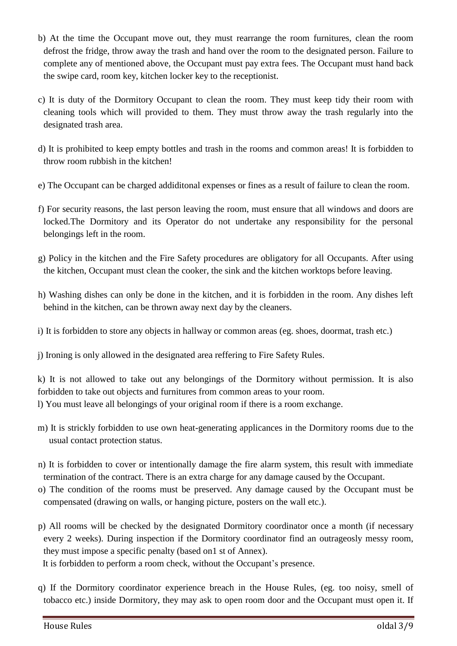- b) At the time the Occupant move out, they must rearrange the room furnitures, clean the room defrost the fridge, throw away the trash and hand over the room to the designated person. Failure to complete any of mentioned above, the Occupant must pay extra fees. The Occupant must hand back the swipe card, room key, kitchen locker key to the receptionist.
- c) It is duty of the Dormitory Occupant to clean the room. They must keep tidy their room with cleaning tools which will provided to them. They must throw away the trash regularly into the designated trash area.
- d) It is prohibited to keep empty bottles and trash in the rooms and common areas! It is forbidden to throw room rubbish in the kitchen!
- e) The Occupant can be charged addiditonal expenses or fines as a result of failure to clean the room.
- f) For security reasons, the last person leaving the room, must ensure that all windows and doors are locked.The Dormitory and its Operator do not undertake any responsibility for the personal belongings left in the room.
- g) Policy in the kitchen and the Fire Safety procedures are obligatory for all Occupants. After using the kitchen, Occupant must clean the cooker, the sink and the kitchen worktops before leaving.
- h) Washing dishes can only be done in the kitchen, and it is forbidden in the room. Any dishes left behind in the kitchen, can be thrown away next day by the cleaners.
- i) It is forbidden to store any objects in hallway or common areas (eg. shoes, doormat, trash etc.)
- j) Ironing is only allowed in the designated area reffering to Fire Safety Rules.

k) It is not allowed to take out any belongings of the Dormitory without permission. It is also forbidden to take out objects and furnitures from common areas to your room.

l) You must leave all belongings of your original room if there is a room exchange.

- m) It is strickly forbidden to use own heat-generating applicances in the Dormitory rooms due to the usual contact protection status.
- n) It is forbidden to cover or intentionally damage the fire alarm system, this result with immediate termination of the contract. There is an extra charge for any damage caused by the Occupant.
- o) The condition of the rooms must be preserved. Any damage caused by the Occupant must be compensated (drawing on walls, or hanging picture, posters on the wall etc.).
- p) All rooms will be checked by the designated Dormitory coordinator once a month (if necessary every 2 weeks). During inspection if the Dormitory coordinator find an outrageosly messy room, they must impose a specific penalty (based on1 st of Annex).

It is forbidden to perform a room check, without the Occupant's presence.

q) If the Dormitory coordinator experience breach in the House Rules, (eg. too noisy, smell of tobacco etc.) inside Dormitory, they may ask to open room door and the Occupant must open it. If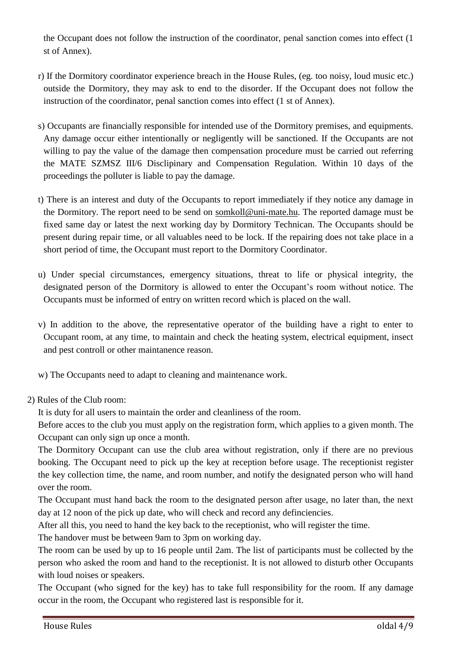the Occupant does not follow the instruction of the coordinator, penal sanction comes into effect (1 st of Annex).

- r) If the Dormitory coordinator experience breach in the House Rules, (eg. too noisy, loud music etc.) outside the Dormitory, they may ask to end to the disorder. If the Occupant does not follow the instruction of the coordinator, penal sanction comes into effect (1 st of Annex).
- s) Occupants are financially responsible for intended use of the Dormitory premises, and equipments. Any damage occur either intentionally or negligently will be sanctioned. If the Occupants are not willing to pay the value of the damage then compensation procedure must be carried out referring the MATE SZMSZ III/6 Disclipinary and Compensation Regulation. Within 10 days of the proceedings the polluter is liable to pay the damage.
- t) There is an interest and duty of the Occupants to report immediately if they notice any damage in the Dormitory. The report need to be send on [somkoll@uni-mate.hu.](mailto:somkoll@uni-mate.hu) The reported damage must be fixed same day or latest the next working day by Dormitory Technican. The Occupants should be present during repair time, or all valuables need to be lock. If the repairing does not take place in a short period of time, the Occupant must report to the Dormitory Coordinator.
- u) Under special circumstances, emergency situations, threat to life or physical integrity, the designated person of the Dormitory is allowed to enter the Occupant's room without notice. The Occupants must be informed of entry on written record which is placed on the wall.
- v) In addition to the above, the representative operator of the building have a right to enter to Occupant room, at any time, to maintain and check the heating system, electrical equipment, insect and pest controll or other maintanence reason.
- w) The Occupants need to adapt to cleaning and maintenance work.
- 2) Rules of the Club room:

It is duty for all users to maintain the order and cleanliness of the room.

Before acces to the club you must apply on the registration form, which applies to a given month. The Occupant can only sign up once a month.

The Dormitory Occupant can use the club area without registration, only if there are no previous booking. The Occupant need to pick up the key at reception before usage. The receptionist register the key collection time, the name, and room number, and notify the designated person who will hand over the room.

The Occupant must hand back the room to the designated person after usage, no later than, the next day at 12 noon of the pick up date, who will check and record any definciencies.

After all this, you need to hand the key back to the receptionist, who will register the time.

The handover must be between 9am to 3pm on working day.

The room can be used by up to 16 people until 2am. The list of participants must be collected by the person who asked the room and hand to the receptionist. It is not allowed to disturb other Occupants with loud noises or speakers.

The Occupant (who signed for the key) has to take full responsibility for the room. If any damage occur in the room, the Occupant who registered last is responsible for it.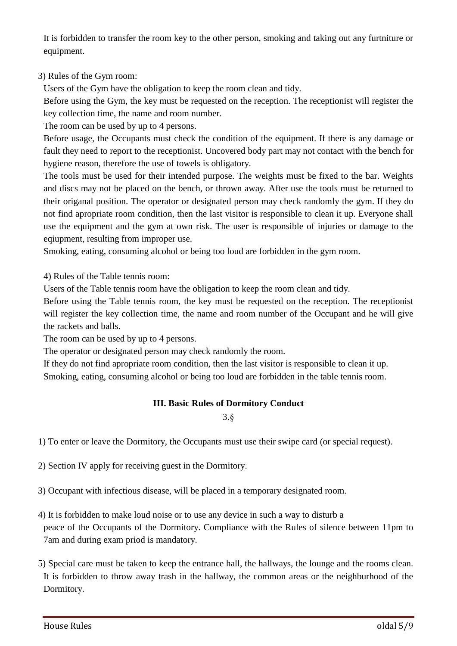It is forbidden to transfer the room key to the other person, smoking and taking out any furtniture or equipment.

## 3) Rules of the Gym room:

Users of the Gym have the obligation to keep the room clean and tidy.

Before using the Gym, the key must be requested on the reception. The receptionist will register the key collection time, the name and room number.

The room can be used by up to 4 persons.

Before usage, the Occupants must check the condition of the equipment. If there is any damage or fault they need to report to the receptionist. Uncovered body part may not contact with the bench for hygiene reason, therefore the use of towels is obligatory.

The tools must be used for their intended purpose. The weights must be fixed to the bar. Weights and discs may not be placed on the bench, or thrown away. After use the tools must be returned to their origanal position. The operator or designated person may check randomly the gym. If they do not find apropriate room condition, then the last visitor is responsible to clean it up. Everyone shall use the equipment and the gym at own risk. The user is responsible of injuries or damage to the eqiupment, resulting from improper use.

Smoking, eating, consuming alcohol or being too loud are forbidden in the gym room.

4) Rules of the Table tennis room:

Users of the Table tennis room have the obligation to keep the room clean and tidy.

Before using the Table tennis room, the key must be requested on the reception. The receptionist will register the key collection time, the name and room number of the Occupant and he will give the rackets and balls.

The room can be used by up to 4 persons.

The operator or designated person may check randomly the room.

If they do not find apropriate room condition, then the last visitor is responsible to clean it up. Smoking, eating, consuming alcohol or being too loud are forbidden in the table tennis room.

## **III. Basic Rules of Dormitory Conduct**

3.§

1) To enter or leave the Dormitory, the Occupants must use their swipe card (or special request).

2) Section IV apply for receiving guest in the Dormitory.

3) Occupant with infectious disease, will be placed in a temporary designated room.

- 4) It is forbidden to make loud noise or to use any device in such a way to disturb a peace of the Occupants of the Dormitory. Compliance with the Rules of silence between 11pm to 7am and during exam priod is mandatory.
- 5) Special care must be taken to keep the entrance hall, the hallways, the lounge and the rooms clean. It is forbidden to throw away trash in the hallway, the common areas or the neighburhood of the Dormitory.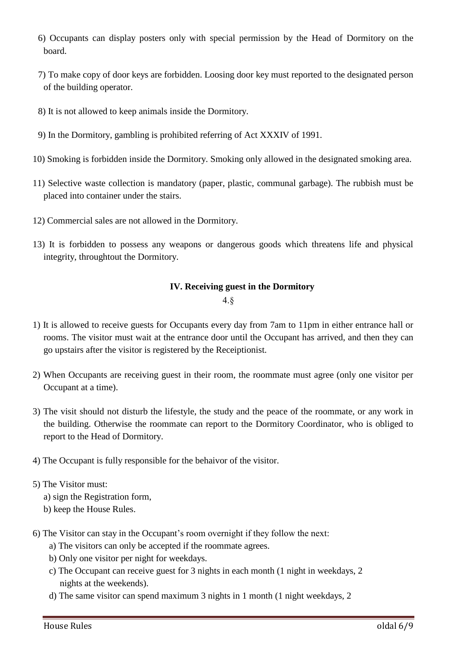- 6) Occupants can display posters only with special permission by the Head of Dormitory on the board.
- 7) To make copy of door keys are forbidden. Loosing door key must reported to the designated person of the building operator.
- 8) It is not allowed to keep animals inside the Dormitory.
- 9) In the Dormitory, gambling is prohibited referring of Act XXXIV of 1991.
- 10) Smoking is forbidden inside the Dormitory. Smoking only allowed in the designated smoking area.
- 11) Selective waste collection is mandatory (paper, plastic, communal garbage). The rubbish must be placed into container under the stairs.
- 12) Commercial sales are not allowed in the Dormitory.
- 13) It is forbidden to possess any weapons or dangerous goods which threatens life and physical integrity, throughtout the Dormitory.

#### **IV. Receiving guest in the Dormitory**

4.§

- 1) It is allowed to receive guests for Occupants every day from 7am to 11pm in either entrance hall or rooms. The visitor must wait at the entrance door until the Occupant has arrived, and then they can go upstairs after the visitor is registered by the Receiptionist.
- 2) When Occupants are receiving guest in their room, the roommate must agree (only one visitor per Occupant at a time).
- 3) The visit should not disturb the lifestyle, the study and the peace of the roommate, or any work in the building. Otherwise the roommate can report to the Dormitory Coordinator, who is obliged to report to the Head of Dormitory.
- 4) The Occupant is fully responsible for the behaivor of the visitor.

#### 5) The Visitor must:

- a) sign the Registration form,
- b) keep the House Rules.
- 6) The Visitor can stay in the Occupant's room overnight if they follow the next:
	- a) The visitors can only be accepted if the roommate agrees.
	- b) Only one visitor per night for weekdays.
	- c) The Occupant can receive guest for 3 nights in each month (1 night in weekdays, 2 nights at the weekends).
	- d) The same visitor can spend maximum 3 nights in 1 month (1 night weekdays, 2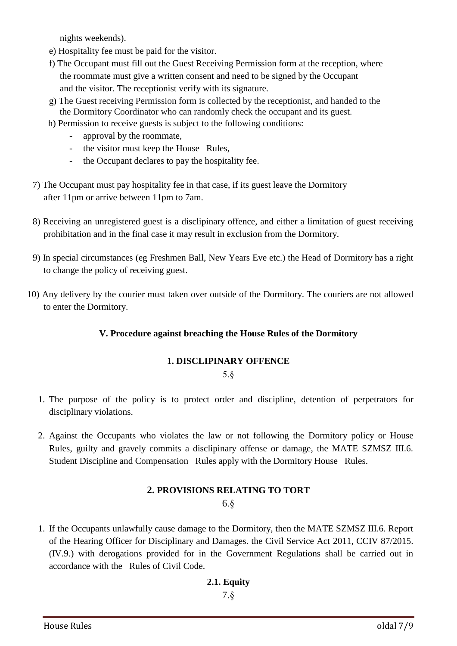nights weekends).

- e) Hospitality fee must be paid for the visitor.
- f) The Occupant must fill out the Guest Receiving Permission form at the reception, where the roommate must give a written consent and need to be signed by the Occupant and the visitor. The receptionist verify with its signature.
- g) The Guest receiving Permission form is collected by the receptionist, and handed to the the Dormitory Coordinator who can randomly check the occupant and its guest.
- h) Permission to receive guests is subject to the following conditions:
	- approval by the roommate,
	- the visitor must keep the House Rules,
	- the Occupant declares to pay the hospitality fee.
- 7) The Occupant must pay hospitality fee in that case, if its guest leave the Dormitory after 11pm or arrive between 11pm to 7am.
- 8) Receiving an unregistered guest is a disclipinary offence, and either a limitation of guest receiving prohibitation and in the final case it may result in exclusion from the Dormitory.
- 9) In special circumstances (eg Freshmen Ball, New Years Eve etc.) the Head of Dormitory has a right to change the policy of receiving guest.
- 10) Any delivery by the courier must taken over outside of the Dormitory. The couriers are not allowed to enter the Dormitory.

#### **V. Procedure against breaching the House Rules of the Dormitory**

#### **1. DISCLIPINARY OFFENCE**

5.§

- 1. The purpose of the policy is to protect order and discipline, detention of perpetrators for disciplinary violations.
- 2. Against the Occupants who violates the law or not following the Dormitory policy or House Rules, guilty and gravely commits a disclipinary offense or damage, the MATE SZMSZ III.6. Student Discipline and Compensation Rules apply with the Dormitory House Rules.

## **2. PROVISIONS RELATING TO TORT**

6.§

1. If the Occupants unlawfully cause damage to the Dormitory, then the MATE SZMSZ III.6. Report of the Hearing Officer for Disciplinary and Damages. the Civil Service Act 2011, CCIV 87/2015. (IV.9.) with derogations provided for in the Government Regulations shall be carried out in accordance with the Rules of Civil Code.

#### **2.1. Equity**